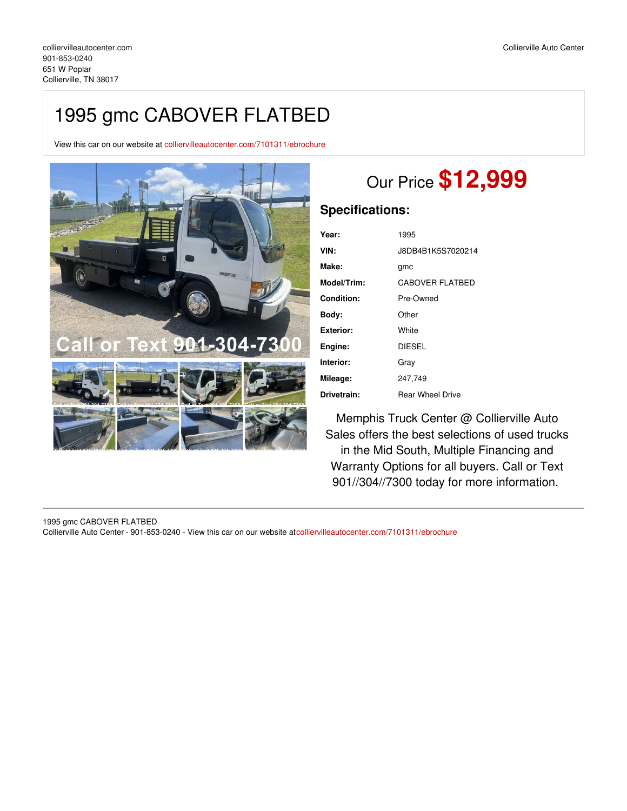## 1995 gmc CABOVER FLATBED

View this car on our website at [colliervilleautocenter.com/7101311/ebrochure](https://colliervilleautocenter.com/vehicle/7101311/1995-gmc-cabover-flatbed-collierville-tn-38017/7101311/ebrochure)



## Our Price **\$12,999**

## **Specifications:**

| Year:       | 1995                    |
|-------------|-------------------------|
| VIN:        | J8DB4B1K5S7020214       |
| Make:       | gmc                     |
| Model/Trim: | <b>CABOVER FLATBED</b>  |
| Condition:  | Pre-Owned               |
| Body:       | Other                   |
| Exterior:   | White                   |
| Engine:     | <b>DIESEL</b>           |
| Interior:   | Grav                    |
| Mileage:    | 247.749                 |
| Drivetrain: | <b>Rear Wheel Drive</b> |

Memphis Truck Center @ Collierville Auto Sales offers the best selections of used trucks in the Mid South, Multiple Financing and Warranty Options for all buyers. Call or Text 901//304//7300 today for more information.

1995 gmc CABOVER FLATBED Collierville Auto Center - 901-853-0240 - View this car on our website at[colliervilleautocenter.com/7101311/ebrochure](https://colliervilleautocenter.com/vehicle/7101311/1995-gmc-cabover-flatbed-collierville-tn-38017/7101311/ebrochure)